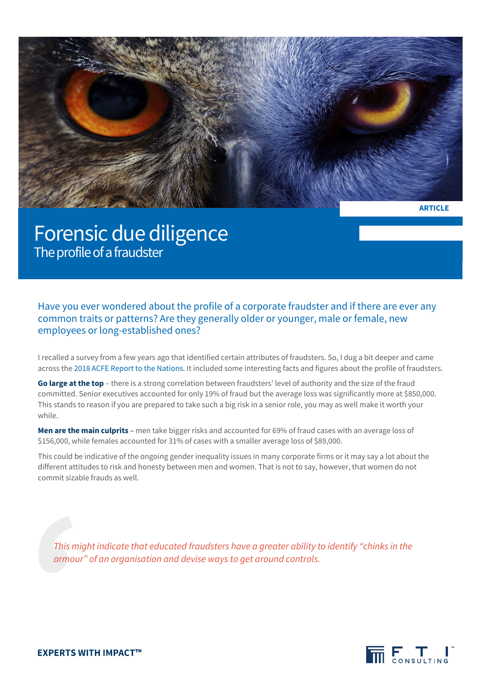

**ARTICLE**

## Forensic due diligence The profile of a fraudster

Have you ever wondered about the profile of a corporate fraudster and if there are ever any common traits or patterns? Are they generally older or younger, male or female, new employees or long-established ones?

I recalled a survey from a few years ago that identified certain attributes of fraudsters. So, I dug a bit deeper and came across th[e 2018 ACFE Report to the Nations.](https://www.acfe.com/article.aspx?id=4295001895) It included some interesting facts and figures about the profile of fraudsters.

**Go large at the top** – there is a strong correlation between fraudsters' level of authority and the size of the fraud committed. Senior executives accounted for only 19% of fraud but the average loss was significantly more at \$850,000. This stands to reason if you are prepared to take such a big risk in a senior role, you may as well make it worth your while.

**Men are the main culprits** – men take bigger risks and accounted for 69% of fraud cases with an average loss of \$156,000, while females accounted for 31% of cases with a smaller average loss of \$89,000.

This could be indicative of the ongoing gender inequality issues in many corporate firms or it may say a lot about the different attitudes to risk and honesty between men and women. That is not to say, however, that women do not commit sizable frauds as well.

*This might indicate that educated fraudsters have a greater ability to identify "chinks in the armour" of an organisation and devise ways to get around controls.*